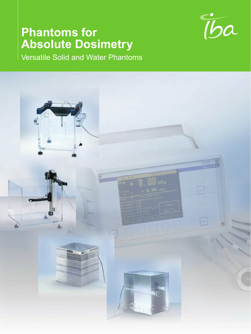### **Phantoms for Absolute Dosimetry**



Versatile Solid and Water Phantoms

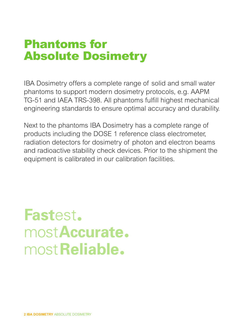### Phantoms for Absolute Dosimetry

IBA Dosimetry offers a complete range of solid and small water phantoms to support modern dosimetry protocols, e.g. AAPM TG-51 and IAEA TRS-398. All phantoms fulfill highest mechanical engineering standards to ensure optimal accuracy and durability.

Next to the phantoms IBA Dosimetry has a complete range of products including the DOSE 1 reference class electrometer, radiation detectors for dosimetry of photon and electron beams and radioactive stability check devices. Prior to the shipment the equipment is calibrated in our calibration facilities.

# **Fastest.** mostAccurate. most Reliable.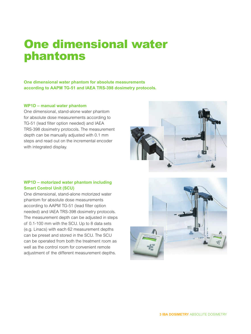### One dimensional water phantoms

**One dimensional water phantom for absolute measurements according to AAPM TG-51 and IAEA TRS-398 dosimetry protocols.**

#### **WP1D – manual water phantom**

One dimensional, stand-alone water phantom for absolute dose measurements according to TG-51 (lead filter option needed) and IAEA TRS-398 dosimetry protocols. The measurement depth can be manually adjusted with 0.1 mm steps and read out on the incremental encoder with integrated display.

#### **WP1D – motorized water phantom including Smart Control Unit (SCU)**

One dimensional, stand-alone motorized water phantom for absolute dose measurements according to AAPM TG-51 (lead filter option needed) and IAEA TRS-398 dosimetry protocols. The measurement depth can be adjusted in steps of 0.1-100 mm with the SCU. Up to 8 data sets (e.g. Linacs) with each 62 measurement depths can be preset and stored in the SCU. The SCU can be operated from both the treatment room as well as the control room for convenient remote adjustment of the different measurement depths.



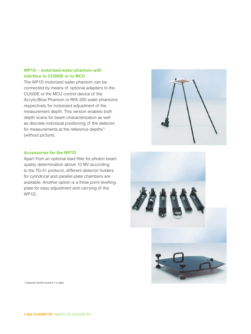#### **WP1D – motorized water phantom with interface to CU500E or to MCU**

The WP1D motorized water phantom can be connected by means of optional adapters to the CU500E or the MCU control device of the Acrylic/Blue Phantom or RFA-300 water phantoms respectively for motorized adjustment of the measurement depth. This version enables both depth scans for beam characterization as well as discrete individual positioning of the detector for measurements at the reference depths<sup>1)</sup> (without picture).

#### **Accessories for the WP1D**

Apart from an optional lead filter for photon beam quality determination above 10 MV according to the TG-51 protocol, different detector holders for cylindrical and parallel plate chambers are available. Another option is a three point levelling plate for easy adjustment and carrying of the WP1D.





1) Requires OmniPro-Accept 6.1 or higher.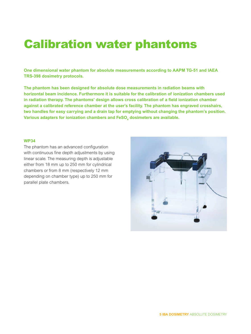### Calibration water phantoms

**One dimensional water phantom for absolute measurements according to AAPM TG-51 and IAEA TRS-398 dosimetry protocols.**

**The phantom has been designed for absolute dose measurements in radiation beams with horizontal beam incidence. Furthermore it is suitable for the calibration of ionization chambers used in radiation therapy. The phantoms' design allows cross calibration of a field ionization chamber against a calibrated reference chamber at the user's facility. The phantom has engraved crosshairs, two handles for easy carrying and a drain tap for emptying without changing the phantom's position. Various adapters for ionization chambers and FeSO** $_{\scriptscriptstyle{4}}$  **dosimeters are available.** 

#### **WP34**

The phantom has an advanced configuration with continuous fine depth adjustments by using linear scale. The measuring depth is adjustable either from 18 mm up to 250 mm for cylindrical chambers or from 8 mm (respectively 12 mm depending on chamber type) up to 250 mm for parallel plate chambers.

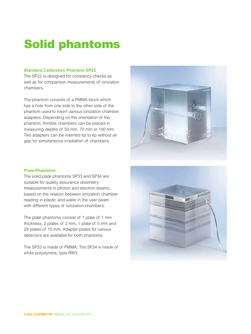# Solid phantoms

#### **Standard Calibration Phantom SP22**

The SP22 is designed for constancy checks as well as for comparison measurements of ionization chambers.

The phantom consists of a PMMA block which has a hole from one side to the other side of the phantom used to insert various ionization chamber adapters. Depending on the orientation of the phantom, thimble chambers can be placed in measuring depths of 50 mm, 70 mm or 100 mm. Two adapters can be inserted tip to tip without air gap for simultaneous irradiation of chambers.



#### **Plate Phantoms**

The solid plate phantoms SP33 and SP34 are suitable for quality assurance dosimetry measurements in photon and electron beams, based on the relation between ionization chamber reading in plastic and water in the user beam with different types of ionization chambers.

The plate phantoms consist of 1 plate of 1 mm thickness, 2 plates of 2 mm, 1 plate of 5 mm and 29 plates of 10 mm. Adapter plates for various detectors are available for both phantoms.

The SP33 is made of PMMA. The SP34 is made of white polystyrene, type RW3.

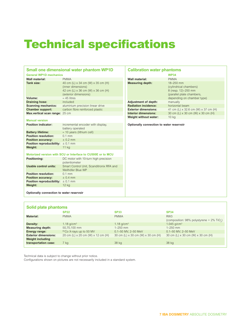# Technical specifications

| Small one dimensional water phantom WP1D                    |                                                                                                                       | <b>Calibration water phantoms</b>        |                                                                                         |
|-------------------------------------------------------------|-----------------------------------------------------------------------------------------------------------------------|------------------------------------------|-----------------------------------------------------------------------------------------|
| <b>General WP1D mechanics</b>                               |                                                                                                                       |                                          | <b>WP34</b>                                                                             |
| Wall material:                                              | <b>PMMA</b>                                                                                                           | Wall material:                           | <b>PMMA</b>                                                                             |
| Tank size:                                                  | 40 cm (L) x 34 cm (W) x 35 cm (H)<br>(inner dimensions)<br>42 cm (L) x 36 cm (W) x 36 cm (H)<br>(exterior dimensions) | <b>Measuring depth:</b>                  | 18-250 mm<br>(cylindrical chambers)<br>8 (resp. 12)-250 mm<br>(parallel plate chambers, |
| Volume:                                                     | $\approx 45$ litres                                                                                                   |                                          | depending on chamber type)                                                              |
| <b>Draining hose:</b>                                       | included                                                                                                              | <b>Adjustment of depth:</b>              | manually                                                                                |
| <b>Scanning mechanics:</b>                                  | aluminium precision linear drive                                                                                      | <b>Radiation incidence:</b>              | horizontal beam                                                                         |
| <b>Chamber support:</b>                                     | carbon fibre reinforced plastic                                                                                       | <b>Exterior dimensions:</b>              | 41 cm (L) x 32.6 cm (W) x 37 cm (H)                                                     |
| Max.vertical scan range: 25 cm                              |                                                                                                                       | <b>Interior dimensions:</b>              | 30 cm (L) x 30 cm (W) x 30 cm (H)                                                       |
|                                                             |                                                                                                                       | Weight without water:                    | 10 kg                                                                                   |
| <b>Manual version</b>                                       |                                                                                                                       |                                          |                                                                                         |
| <b>Position indicator:</b>                                  | incremental encoder with display,<br>battery operated                                                                 | Optionally connection to water reservoir |                                                                                         |
| <b>Battery lifetime:</b>                                    | $\approx$ 10 years (lithium cell)                                                                                     |                                          |                                                                                         |
| <b>Position resolution:</b>                                 | $0.1$ mm                                                                                                              |                                          |                                                                                         |
| <b>Position accuracy:</b>                                   | $+0.2$ mm                                                                                                             |                                          |                                                                                         |
| <b>Position reproducibility:</b> $\pm 0.1$ mm               |                                                                                                                       |                                          |                                                                                         |
| Weight:                                                     | 11 kg                                                                                                                 |                                          |                                                                                         |
| Motorized version with SCU or Interface to CU500E or to MCU |                                                                                                                       |                                          |                                                                                         |
| Positioning:                                                | DC motor with 10-turn high precision<br>potentiometer                                                                 |                                          |                                                                                         |
| <b>Usable control units:</b>                                | Smart Control Unit, Scanditronix RFA and<br>Wellhöfer Blue WP                                                         |                                          |                                                                                         |
| <b>Position resolution:</b>                                 | $0.1$ mm                                                                                                              |                                          |                                                                                         |
| <b>Position accuracy:</b>                                   | $+0.4$ mm                                                                                                             |                                          |                                                                                         |
| <b>Position reproducibility:</b> $\pm 0.1$ mm               |                                                                                                                       |                                          |                                                                                         |
| Weight:                                                     | 12 kg                                                                                                                 |                                          |                                                                                         |
| Optionally connection to water reservoir                    |                                                                                                                       |                                          |                                                                                         |

| Solid plate phantoms        |                                     |                                   |                                                       |  |  |
|-----------------------------|-------------------------------------|-----------------------------------|-------------------------------------------------------|--|--|
|                             | <b>SP22</b>                         | <b>SP33</b>                       | <b>SP34</b>                                           |  |  |
| <b>Material:</b>            | <b>PMMA</b>                         | <b>PMMA</b>                       | RW <sub>3</sub>                                       |  |  |
|                             |                                     |                                   | (composition: 98% polystyrene + 2% TiO <sub>2</sub> ) |  |  |
| Density:                    | 1.18 $q/cm3$                        | 1.18 $q/cm^3$                     | 1.045 $q/cm^3$                                        |  |  |
| <b>Measuring depth:</b>     | 50,70,100 mm                        | $1 - 250$ mm                      | $1 - 250$ mm                                          |  |  |
| Energy range:               | <sup>60</sup> Co X-rays up to 50 MV | 0.1-50 MV, 2-50 MeV               | 0.1-50 MV: 2-50 MeV                                   |  |  |
| <b>Exterior dimensions:</b> | 20 cm (L) x 20 cm (W) x 12 cm (H)   | 30 cm (L) x 30 cm (W) x 30 cm (H) | 30 cm (L) x 30 cm (W) x 30 cm (H)                     |  |  |
| <b>Weight including</b>     |                                     |                                   |                                                       |  |  |
| transportation case:        | 7 kg                                | 38 kg                             | 38 kg                                                 |  |  |
|                             |                                     |                                   |                                                       |  |  |

Technical data is subject to change without prior notice.

Configurations shown on pictures are not necessarily included in a standard system.